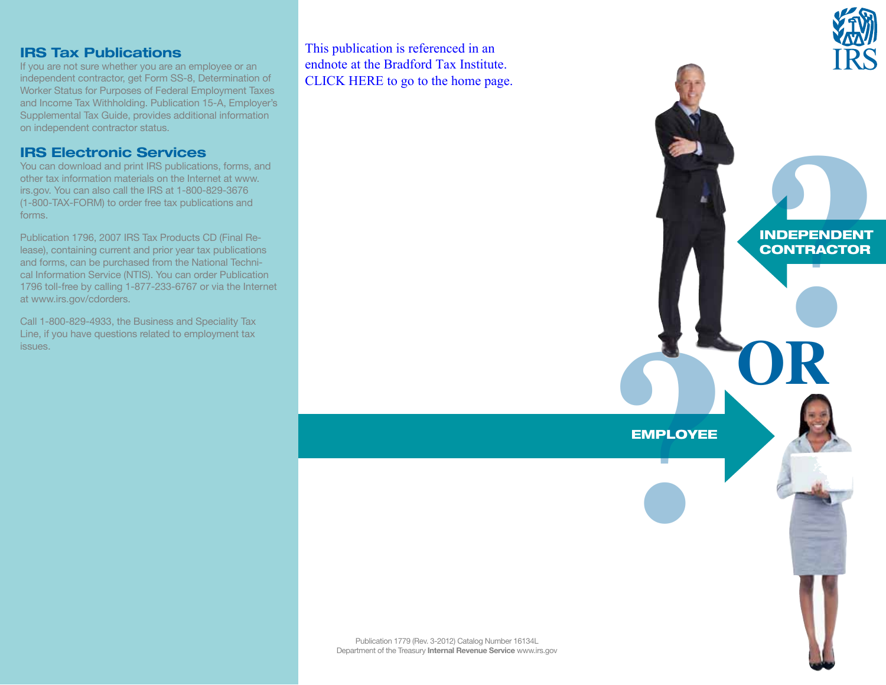#### **IRS Tax Publications**

If you are not sure whether you are an employee or an independent contractor, get Form SS-8, Determination of Worker Status for Purposes of Federal Employment Taxes and Income Tax Withholding. Publication 15-A, Employer's Supplemental Tax Guide, provides additional information on independent contractor status.

### **IRS Electronic Services**

You can download and print IRS publications, forms, and other tax information materials on the Internet at www. irs.gov. You can also call the IRS at 1-800-829-3676 (1-800-TAX-FORM) to order free tax publications and forms.

Publication 1796, 2007 IRS Tax Products CD (Final Release), containing current and prior year tax publications and forms, can be purchased from the National Technical Information Service (NTIS). You can order Publication 1796 toll-free by calling 1-877-233-6767 or via the Internet at www.irs.gov/cdorders.

Call 1-800-829-4933, the Business and Speciality Tax Line, if you have questions related to employment tax issues.

This publication is referenced in an endnote at the Bradford Tax Institute. [CLICK HERE to go to the home page.](bradfordtaxinstitute.com)



**RIDEPENDENT**<br>CONTRACTOR

**OR**

INDEPENDENT **CONTRACTOR** 

Publication 1779 (Rev. 3-2012) Catalog Number 16134L Department of the Treasury **Internal Revenue Service** www.irs.gov